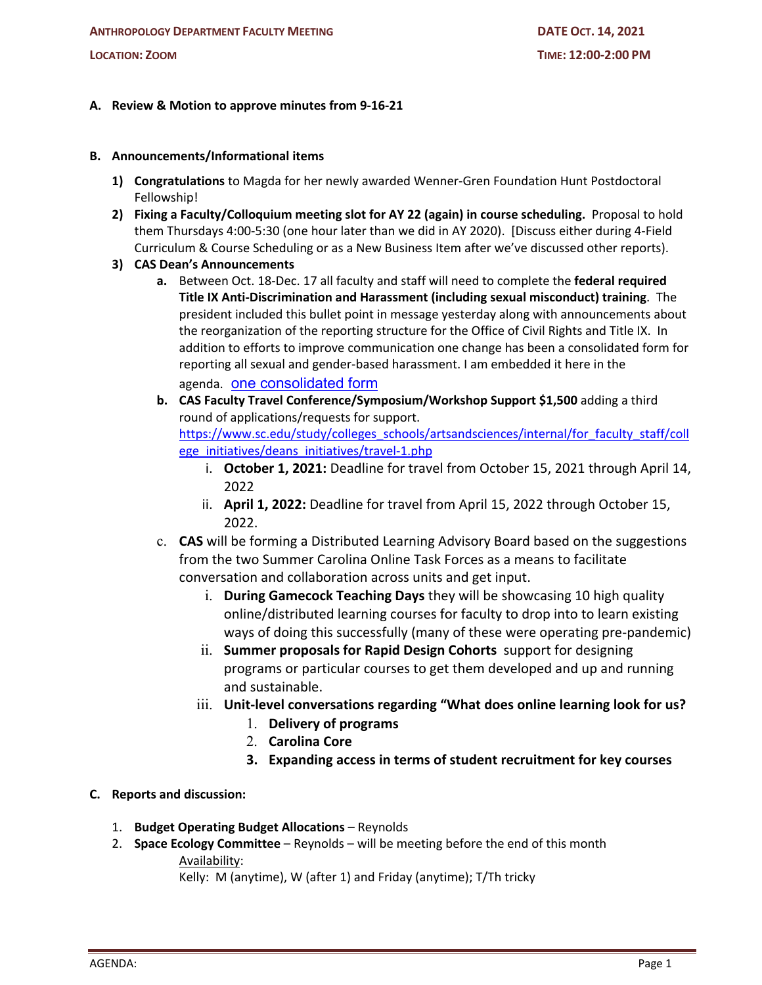## **A. Review & Motion to approve minutes from 9-16-21**

## **B. Announcements/Informational items**

- **1) Congratulations** to Magda for her newly awarded Wenner-Gren Foundation Hunt Postdoctoral Fellowship!
- **2) Fixing a Faculty/Colloquium meeting slot for AY 22 (again) in course scheduling.** Proposal to hold them Thursdays 4:00-5:30 (one hour later than we did in AY 2020). [Discuss either during 4-Field Curriculum & Course Scheduling or as a New Business Item after we've discussed other reports).
- **3) CAS Dean's Announcements**
	- **a.** Between Oct. 18-Dec. 17 all faculty and staff will need to complete the **federal required Title IX Anti-Discrimination and Harassment (including sexual misconduct) training**. The president included this bullet point in message yesterday along with announcements about the reorganization of the reporting structure for the Office of Civil Rights and Title IX. In addition to efforts to improve communication one change has been a consolidated form for reporting all sexual and gender-based harassment. I am embedded it here in the agenda. one consolidated form
	- **b. CAS Faculty Travel Conference/Symposium/Workshop Support \$1,500** adding a third round of applications/requests for support. https://www.sc.edu/study/colleges\_schools/artsandsciences/internal/for\_faculty\_staff/coll ege\_initiatives/deans\_initiatives/travel-1.php
		- i. **October 1, 2021:** Deadline for travel from October 15, 2021 through April 14, 2022
		- ii. **April 1, 2022:** Deadline for travel from April 15, 2022 through October 15, 2022.
	- c. **CAS** will be forming a Distributed Learning Advisory Board based on the suggestions from the two Summer Carolina Online Task Forces as a means to facilitate conversation and collaboration across units and get input.
		- i. **During Gamecock Teaching Days** they will be showcasing 10 high quality online/distributed learning courses for faculty to drop into to learn existing ways of doing this successfully (many of these were operating pre-pandemic)
		- ii. **Summer proposals for Rapid Design Cohorts** support for designing programs or particular courses to get them developed and up and running and sustainable.
		- iii. **Unit-level conversations regarding "What does online learning look for us?** 
			- 1. **Delivery of programs**
			- 2. **Carolina Core**
			- **3. Expanding access in terms of student recruitment for key courses**

## **C. Reports and discussion:**

- 1. **Budget Operating Budget Allocations** Reynolds
- 2. **Space Ecology Committee** Reynolds will be meeting before the end of this month Availability:

Kelly: M (anytime), W (after 1) and Friday (anytime); T/Th tricky